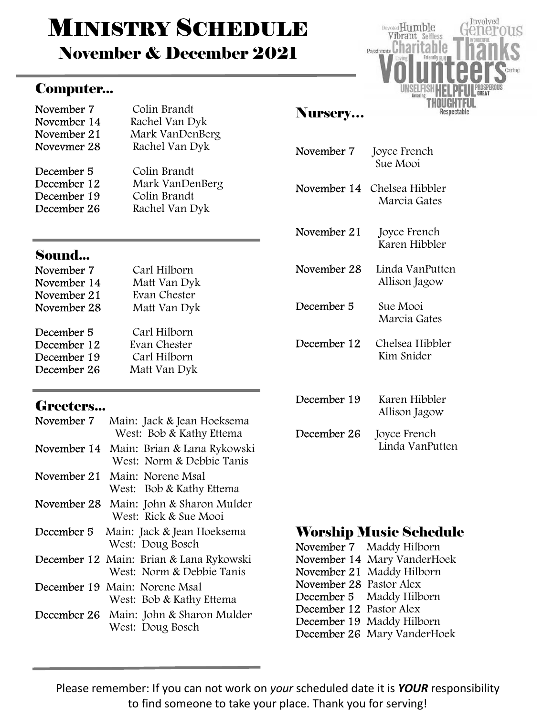# **MINISTRY SCHEDULE**

November & December 2021

#### Computer...

| November 7  | Colin Brandt    |
|-------------|-----------------|
| November 14 | Rachel Van Dyk  |
| November 21 | Mark VanDenBerg |
| Novevmer 28 | Rachel Van Dyk  |
| December 5  | Colin Brandt    |
| December 12 | Mark VanDenBerg |
| December 19 | Colin Brandt    |
| December 26 | Rachel Van Dyk  |
|             |                 |

#### Sound...

| November 7  | Carl Hilborn |
|-------------|--------------|
| November 14 | Matt Van Dyk |
| November 21 | Evan Chester |
| November 28 | Matt Van Dyk |
|             |              |
| December 5  | Carl Hilborn |
| December 12 | Evan Chester |
| December 19 | Carl Hilborn |
| December 26 | Matt Van Dyk |

#### Greeters...

| November 7  | Main: Jack & Jean Hoeksema<br>West: Bob & Kathy Ettema               |
|-------------|----------------------------------------------------------------------|
| November 14 | Main: Brian & Lana Rykowski<br>West: Norm & Debbie Tanis             |
| November 21 | Main: Norene Msal<br>West: Bob & Kathy Ettema                        |
| November 28 | Main: John & Sharon Mulder<br>West: Rick & Sue Mooi                  |
| December 5  | Main: Jack & Jean Hoeksema<br>West: Doug Bosch                       |
|             | December 12 Main: Brian & Lana Rykowski<br>West: Norm & Debbie Tanis |
|             | December 19 Main: Norene Msal<br>West: Bob & Kathy Ettema            |
|             | December 26 Main: John & Sharon Mulder<br>West: Doug Bosch           |

# Involved Devoted Humble Vibrant Selfless Passionate Charitable

#### Nursery…

| November 7 | Joyce French |
|------------|--------------|
|            | Sue Mooi     |

November 14 Chelsea Hibbler Marcia Gates

November 21 Joyce French Karen Hibbler

November 28 Linda VanPutten Allison Jagow

December 5 Sue Mooi Marcia Gates

- December 12 Chelsea Hibbler Kim Snider
- December 19 Karen Hibbler Allison Jagow December 26 Joyce French Linda VanPutten

#### Worship Music Schedule

|                         | November 7 Maddy Hilborn    |
|-------------------------|-----------------------------|
|                         | November 14 Mary VanderHoek |
|                         | November 21 Maddy Hilborn   |
| November 28 Pastor Alex |                             |
|                         | December 5 Maddy Hilborn    |
| December 12 Pastor Alex |                             |
|                         | December 19 Maddy Hilborn   |
|                         | December 26 Mary VanderHoek |

Please remember: If you can not work on your scheduled date it is YOUR responsibility to find someone to take your place. Thank you for serving!